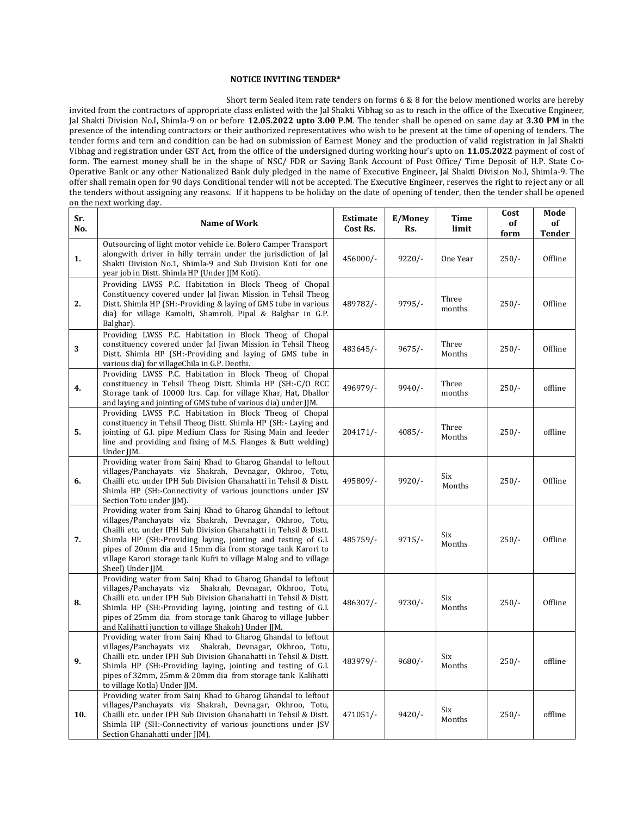## **NOTICE INVITING TENDER\***

 Short term Sealed item rate tenders on forms 6 & 8 for the below mentioned works are hereby invited from the contractors of appropriate class enlisted with the Jal Shakti Vibhag so as to reach in the office of the Executive Engineer, Jal Shakti Division No.I, Shimla-9 on or before **12.05.2022 upto 3.00 P.M**. The tender shall be opened on same day at **3.30 PM** in the presence of the intending contractors or their authorized representatives who wish to be present at the time of opening of tenders. The tender forms and tern and condition can be had on submission of Earnest Money and the production of valid registration in Jal Shakti Vibhag and registration under GST Act, from the office of the undersigned during working hour's upto on **11.05.2022** payment of cost of form. The earnest money shall be in the shape of NSC/ FDR or Saving Bank Account of Post Office/ Time Deposit of H.P. State Co-Operative Bank or any other Nationalized Bank duly pledged in the name of Executive Engineer, Jal Shakti Division No.I, Shimla-9. The offer shall remain open for 90 days Conditional tender will not be accepted. The Executive Engineer, reserves the right to reject any or all the tenders without assigning any reasons. If it happens to be holiday on the date of opening of tender, then the tender shall be opened on the next working day.

| Sr.<br>No. | <b>Name of Work</b>                                                                                                                                                                                                                                                                                                                                                                                                    | <b>Estimate</b><br>Cost Rs. | E/Money<br>Rs. | Time<br>limit   | Cost<br>of<br>form | Mode<br>оf<br><b>Tender</b> |
|------------|------------------------------------------------------------------------------------------------------------------------------------------------------------------------------------------------------------------------------------------------------------------------------------------------------------------------------------------------------------------------------------------------------------------------|-----------------------------|----------------|-----------------|--------------------|-----------------------------|
| 1.         | Outsourcing of light motor vehicle i.e. Bolero Camper Transport<br>alongwith driver in hilly terrain under the jurisdiction of Jal<br>Shakti Division No.1, Shimla-9 and Sub Division Koti for one<br>year job in Distt. Shimla HP (Under JJM Koti).                                                                                                                                                                   | 456000/-                    | $9220/-$       | One Year        | $250/-$            | Offline                     |
| 2.         | Providing LWSS P.C. Habitation in Block Theog of Chopal<br>Constituency covered under Jal Jiwan Mission in Tehsil Theog<br>Distt. Shimla HP (SH:-Providing & laving of GMS tube in various<br>dia) for village Kamolti, Shamroli, Pipal & Balghar in G.P.<br>Balghar).                                                                                                                                                 | 489782/-                    | $9795/-$       | Three<br>months | $250/-$            | Offline                     |
| 3          | Providing LWSS P.C. Habitation in Block Theog of Chopal<br>constituency covered under Jal Jiwan Mission in Tehsil Theog<br>Distt. Shimla HP (SH:-Providing and laying of GMS tube in<br>various dia) for villageChila in G.P. Deothi.                                                                                                                                                                                  | 483645/-                    | $9675/-$       | Three<br>Months | $250/-$            | Offline                     |
| 4.         | Providing LWSS P.C. Habitation in Block Theog of Chopal<br>constituency in Tehsil Theog Distt. Shimla HP (SH:-C/O RCC)<br>Storage tank of 10000 ltrs. Cap. for village Khar, Hat, Dhallor<br>and laying and jointing of GMS tube of various dia) under JJM.                                                                                                                                                            | 496979/-                    | $9940/-$       | Three<br>months | $250/-$            | offline                     |
| 5.         | Providing LWSS P.C. Habitation in Block Theog of Chopal<br>constituency in Tehsil Theog Distt. Shimla HP (SH:- Laying and<br>jointing of G.I. pipe Medium Class for Rising Main and feeder<br>line and providing and fixing of M.S. Flanges & Butt welding)<br>Under JJM.                                                                                                                                              | 204171/-                    | $4085/-$       | Three<br>Months | $250/-$            | offline                     |
| 6.         | Providing water from Sainj Khad to Gharog Ghandal to leftout<br>villages/Panchayats viz Shakrah, Devnagar, Okhroo, Totu,<br>Chailli etc. under IPH Sub Division Ghanahatti in Tehsil & Distt.<br>Shimla HP (SH:-Connectivity of various jounctions under JSV<br>Section Totu under JJM).                                                                                                                               | 495809/-                    | $9920/-$       | Six<br>Months   | $250/-$            | Offline                     |
| 7.         | Providing water from Sainj Khad to Gharog Ghandal to leftout<br>villages/Panchayats viz Shakrah, Devnagar, Okhroo, Totu,<br>Chailli etc. under IPH Sub Division Ghanahatti in Tehsil & Distt.<br>Shimla HP (SH:-Providing laying, jointing and testing of G.I.<br>pipes of 20mm dia and 15mm dia from storage tank Karori to<br>village Karori storage tank Kufri to village Malog and to village<br>Sheel) Under IIM. | 485759/-                    | $9715/-$       | Six<br>Months   | $250/-$            | Offline                     |
| 8.         | Providing water from Sainj Khad to Gharog Ghandal to leftout<br>villages/Panchayats viz Shakrah, Devnagar, Okhroo, Totu,<br>Chailli etc. under IPH Sub Division Ghanahatti in Tehsil & Distt.<br>Shimla HP (SH:-Providing laying, jointing and testing of G.I.<br>pipes of 25mm dia from storage tank Gharog to village Jubber<br>and Kalihatti junction to village Shakoh) Under JJM.                                 | 486307/-                    | $9730/-$       | Six<br>Months   | $250/-$            | Offline                     |
| 9.         | Providing water from Sainj Khad to Gharog Ghandal to leftout<br>villages/Panchayats viz Shakrah, Devnagar, Okhroo, Totu,<br>Chailli etc. under IPH Sub Division Ghanahatti in Tehsil & Distt.<br>Shimla HP (SH:-Providing laying, jointing and testing of G.I.<br>pipes of 32mm, 25mm & 20mm dia from storage tank Kalihatti<br>to village Kotla) Under JJM.                                                           | 483979/-                    | $9680/-$       | Six<br>Months   | $250/-$            | offline                     |
| 10.        | Providing water from Sainj Khad to Gharog Ghandal to leftout<br>villages/Panchayats viz Shakrah, Devnagar, Okhroo, Totu,<br>Chailli etc. under IPH Sub Division Ghanahatti in Tehsil & Distt.<br>Shimla HP (SH:-Connectivity of various jounctions under JSV<br>Section Ghanahatti under JJM).                                                                                                                         | 471051/-                    | $9420/-$       | Six<br>Months   | $250/-$            | offline                     |